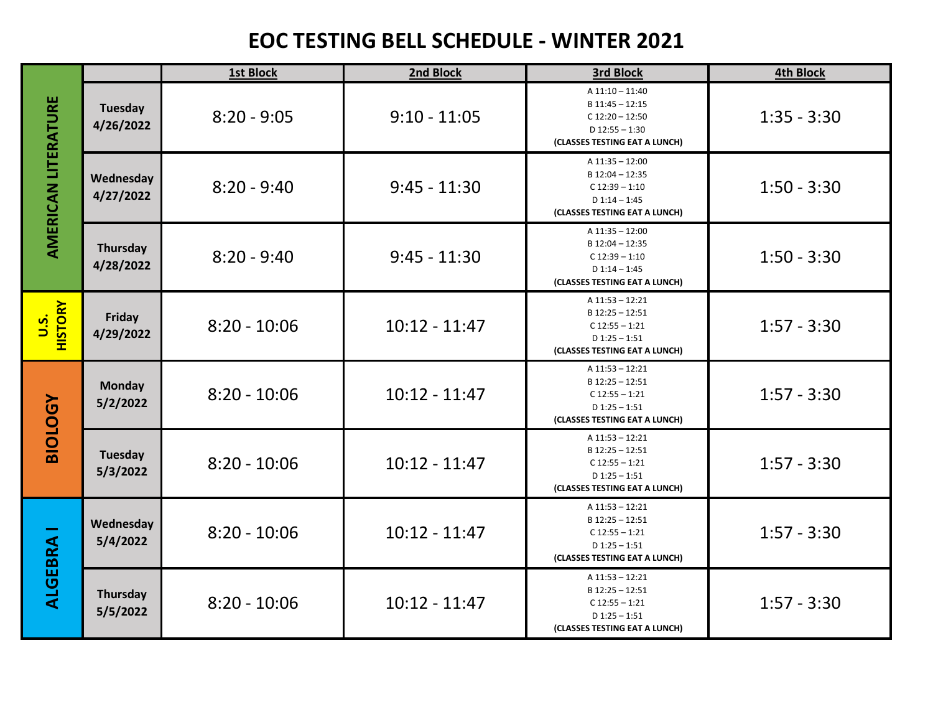## **EOC TESTING BELL SCHEDULE - WINTER 2021**

|                              |                             | 1st Block      | 2nd Block       | 3rd Block                                                                                                    | <b>4th Block</b> |
|------------------------------|-----------------------------|----------------|-----------------|--------------------------------------------------------------------------------------------------------------|------------------|
| <b>AMERICAN LITERATURE</b>   | Tuesday<br>4/26/2022        | $8:20 - 9:05$  | $9:10 - 11:05$  | A 11:10 - 11:40<br>B 11:45 - 12:15<br>$C$ 12:20 - 12:50<br>$D$ 12:55 - 1:30<br>(CLASSES TESTING EAT A LUNCH) | $1:35 - 3:30$    |
|                              | Wednesday<br>4/27/2022      | $8:20 - 9:40$  | $9:45 - 11:30$  | A 11:35 - 12:00<br>B 12:04 - 12:35<br>$C$ 12:39 - 1:10<br>$D$ 1:14 - 1:45<br>(CLASSES TESTING EAT A LUNCH)   | $1:50 - 3:30$    |
|                              | Thursday<br>4/28/2022       | $8:20 - 9:40$  | $9:45 - 11:30$  | A 11:35 - 12:00<br>B 12:04 - 12:35<br>$C$ 12:39 - 1:10<br>$D$ 1:14 - 1:45<br>(CLASSES TESTING EAT A LUNCH)   | $1:50 - 3:30$    |
| <b>HISTORY</b><br><u>u.s</u> | Friday<br>4/29/2022         | $8:20 - 10:06$ | $10:12 - 11:47$ | A 11:53 - 12:21<br>B 12:25 - 12:51<br>$C$ 12:55 - 1:21<br>$D$ 1:25 - 1:51<br>(CLASSES TESTING EAT A LUNCH)   | $1:57 - 3:30$    |
| <b>BIOLOGY</b>               | <b>Monday</b><br>5/2/2022   | $8:20 - 10:06$ | $10:12 - 11:47$ | $A$ 11:53 - 12:21<br>B 12:25 - 12:51<br>$C$ 12:55 - 1:21<br>$D$ 1:25 - 1:51<br>(CLASSES TESTING EAT A LUNCH) | $1:57 - 3:30$    |
|                              | <b>Tuesday</b><br>5/3/2022  | $8:20 - 10:06$ | $10:12 - 11:47$ | A 11:53 - 12:21<br>B 12:25 - 12:51<br>$C$ 12:55 - 1:21<br>$D$ 1:25 - 1:51<br>(CLASSES TESTING EAT A LUNCH)   | $1:57 - 3:30$    |
| <b>ALGEBRA</b>               | Wednesday<br>5/4/2022       | $8:20 - 10:06$ | $10:12 - 11:47$ | A 11:53 - 12:21<br>B 12:25 - 12:51<br>$C$ 12:55 - 1:21<br>$D$ 1:25 - 1:51<br>(CLASSES TESTING EAT A LUNCH)   | $1:57 - 3:30$    |
|                              | <b>Thursday</b><br>5/5/2022 | $8:20 - 10:06$ | $10:12 - 11:47$ | A 11:53 - 12:21<br>B 12:25 - 12:51<br>$C$ 12:55 - 1:21<br>$D$ 1:25 - 1:51<br>(CLASSES TESTING EAT A LUNCH)   | $1:57 - 3:30$    |